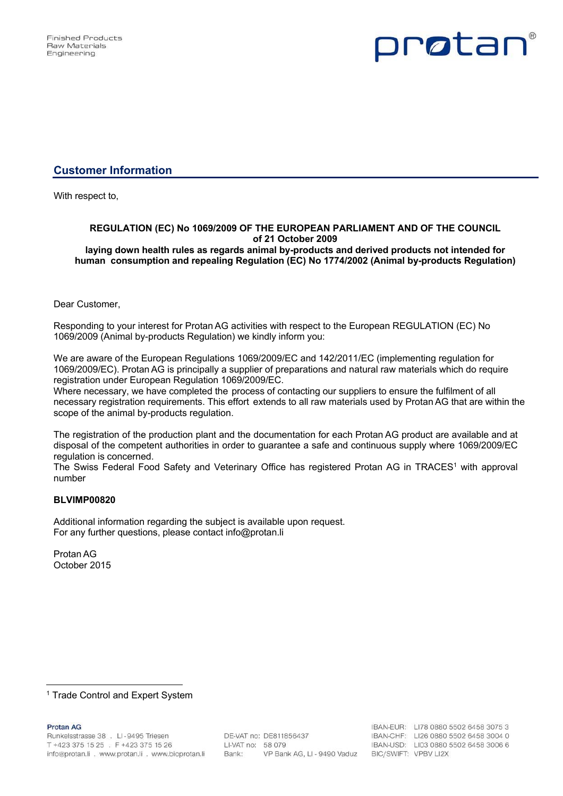

# **Customer Information**

With respect to,

### **REGULATION (EC) No 1069/2009 OF THE EUROPEAN PARLIAMENT AND OF THE COUNCIL of 21 October 2009 laying down health rules as regards animal by-products and derived products not intended for**

**human consumption and repealing Regulation (EC) No 1774/2002 (Animal by-products Regulation)**

## Dear Customer,

Responding to your interest for Protan AG activities with respect to the European REGULATION (EC) No 1069/2009 (Animal by-products Regulation) we kindly inform you:

We are aware of the European Regulations 1069/2009/EC and 142/2011/EC (implementing regulation for 1069/2009/EC). Protan AG is principally a supplier of preparations and natural raw materials which do require registration under European Regulation 1069/2009/EC.

Where necessary, we have completed the process of contacting our suppliers to ensure the fulfilment of all necessary registration requirements. This effort extends to all raw materials used by Protan AG that are within the scope of the animal by-products regulation.

The registration of the production plant and the documentation for each Protan AG product are available and at disposal of the competent authorities in order to guarantee a safe and continuous supply where 1069/2009/EC regulation is concerned.

The Swiss Federal Food Safety and Veterinary Office has registered Protan AG in TRACES<sup>1</sup> with approval number

### **BLVIMP00820**

Additional information regarding the subject is available upon request. For any further questions, please contact info@protan.li

Protan AG October 2015

**Protan AG** 

 <sup>1</sup> Trade Control and Expert System